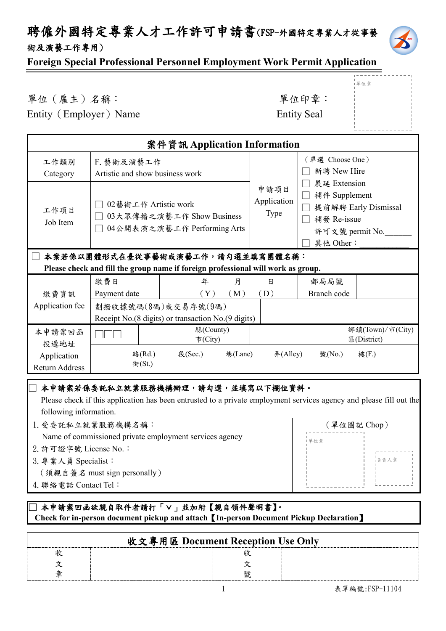### 聘僱外國特定專業人才工作許可申請書(FSP-外國特定專業人才從事藝 術及演藝工作專用)



單位章

### **Foreign Special Professional Personnel Employment Work Permit Application**

# 單位(雇主)名稱: 第六章: 李位印章: 第一

Entity (Employer) Name Entity Seal

|                                                                                                                      |                                                                                  | 案件資訊 Application Information                                                                                                                             |                                    |                                                             |                                            |
|----------------------------------------------------------------------------------------------------------------------|----------------------------------------------------------------------------------|----------------------------------------------------------------------------------------------------------------------------------------------------------|------------------------------------|-------------------------------------------------------------|--------------------------------------------|
| 工作類別<br>Category                                                                                                     | F. 藝術及演藝工作<br>Artistic and show business work                                    |                                                                                                                                                          |                                    | (單選 Choose One)<br>新聘 New Hire                              |                                            |
| 工作項目<br>Job Item                                                                                                     | 02藝術工作 Artistic work<br>03大眾傳播之演藝工作 Show Business<br>04公開表演之演藝工作 Performing Arts |                                                                                                                                                          | 申請項目<br>Application<br><b>Type</b> | 展延 Extension<br>補件 Supplement<br>□ 補發 Re-issue<br>其他 Other: | 提前解聘 Early Dismissal<br>許可文號 permit No.___ |
| 本案若係以團體形式在臺從事藝術或演藝工作,請勾選並填寫團體名稱:<br>Please check and fill the group name if foreign professional will work as group. |                                                                                  |                                                                                                                                                          |                                    |                                                             |                                            |
| 繳費資訊                                                                                                                 | 繳費日<br>Payment date                                                              | 年<br>月<br>(Y)<br>(M)                                                                                                                                     | 日<br>(D)                           | 郵局局號<br>Branch code                                         |                                            |
| Application fee                                                                                                      |                                                                                  | 劃撥收據號碼(8碼)或交易序號(9碼)<br>Receipt No.(8 digits) or transaction No.(9 digits)                                                                                |                                    |                                                             |                                            |
| 本申請案回函<br>投遞地址                                                                                                       |                                                                                  | 縣(County)<br>市(City)                                                                                                                                     |                                    |                                                             | 鄉鎮(Town)/市(City)<br>區(District)            |
| Application<br>Return Address                                                                                        | 路(Rd.)<br>街(St.)                                                                 | 段(Sec.)<br>巷(Lane)                                                                                                                                       | #(Alley)                           | 號(No.)                                                      | 樓(F.)                                      |
| following information.                                                                                               |                                                                                  | 本申請案若係委託私立就業服務機構辦理,請勾選,並填寫以下欄位資料。<br>Please check if this application has been entrusted to a private employment services agency and please fill out the |                                    |                                                             |                                            |

| 1. 受委託私立就業服務機構名稱:<br>(單位圖記 Chop)                        |     |       |
|---------------------------------------------------------|-----|-------|
| Name of commissioned private employment services agency | 單位章 |       |
| 2. 許可證字號 License No.:                                   |     |       |
| 3. 專業人員 Specialist:                                     |     | i負責人章 |
| (須親自簽名 must sign personally)                            |     |       |
| 4. 聯絡電話 Contact Tel:                                    |     |       |
|                                                         |     |       |

### **□ 本申請案回函欲親自取件者請打「∨」並加附【親自領件聲明書】。 Check for in-person document pickup and attach**【**In-person Document Pickup Declaration**】

| Cheen for in person abeament prenap and attach Tin person Document Frenap Decimi atton |  |
|----------------------------------------------------------------------------------------|--|
|                                                                                        |  |
| 收文專用區 Document Reception Use Only                                                      |  |
|                                                                                        |  |
|                                                                                        |  |
|                                                                                        |  |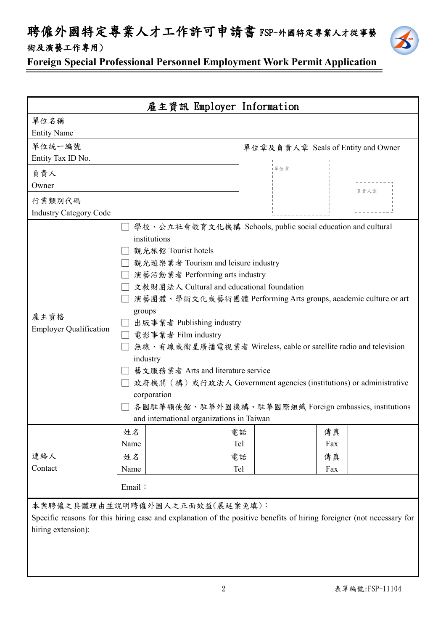聘僱外國特定專業人才工作許可申請書 FSP-外國特定專業人才從事藝 術及演藝工作專用)



**Foreign Special Professional Personnel Employment Work Permit Application**

|                                         |                                                                                                                                                                                                                                                      | 雇主資訊 Employer Information                                                         |                                                                                                                                                                                                                                                                                                                                 |  |
|-----------------------------------------|------------------------------------------------------------------------------------------------------------------------------------------------------------------------------------------------------------------------------------------------------|-----------------------------------------------------------------------------------|---------------------------------------------------------------------------------------------------------------------------------------------------------------------------------------------------------------------------------------------------------------------------------------------------------------------------------|--|
| 單位名稱<br><b>Entity Name</b>              |                                                                                                                                                                                                                                                      |                                                                                   |                                                                                                                                                                                                                                                                                                                                 |  |
| 單位統一編號<br>Entity Tax ID No.             |                                                                                                                                                                                                                                                      |                                                                                   | 單位章及負責人章 Seals of Entity and Owner                                                                                                                                                                                                                                                                                              |  |
| 負責人<br>Owner                            |                                                                                                                                                                                                                                                      | 單位章                                                                               | 負責人章                                                                                                                                                                                                                                                                                                                            |  |
| 行業類別代碼<br><b>Industry Category Code</b> |                                                                                                                                                                                                                                                      |                                                                                   |                                                                                                                                                                                                                                                                                                                                 |  |
| 雇主資格<br><b>Employer Qualification</b>   | institutions<br>觀光旅館 Tourist hotels<br>演藝活動業者 Performing arts industry<br>groups<br>出版事業者 Publishing industry<br>□ 電影事業者 Film industry<br>industry<br>藝文服務業者 Arts and literature service<br>corporation<br>and international organizations in Taiwan | 觀光遊樂業者 Tourism and leisure industry<br>文教財團法人 Cultural and educational foundation | 學校、公立社會教育文化機構 Schools, public social education and cultural<br>演藝團體、學術文化或藝術團體 Performing Arts groups, academic culture or art<br>無線、有線或衛星廣播電視業者 Wireless, cable or satellite radio and television<br>政府機關(構)或行政法人 Government agencies (institutions) or administrative<br>各國駐華領使館、駐華外國機構、駐華國際組織 Foreign embassies, institutions |  |
|                                         | 姓名<br>Name                                                                                                                                                                                                                                           | 電話<br>Tel                                                                         | 傳真<br>Fax                                                                                                                                                                                                                                                                                                                       |  |
| 連絡人<br>Contact                          | 姓名<br>Name                                                                                                                                                                                                                                           | 電話<br>Tel                                                                         | 傳真<br>Fax                                                                                                                                                                                                                                                                                                                       |  |
|                                         | Email:                                                                                                                                                                                                                                               |                                                                                   |                                                                                                                                                                                                                                                                                                                                 |  |
| hiring extension):                      | 本案聘僱之具體理由並說明聘僱外國人之正面效益(展延案免填):                                                                                                                                                                                                                       |                                                                                   | Specific reasons for this hiring case and explanation of the positive benefits of hiring foreigner (not necessary for                                                                                                                                                                                                           |  |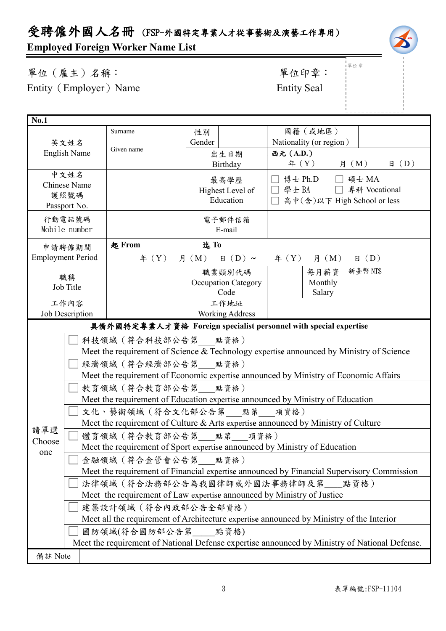## 受聘僱外國人名冊 (FSP-外國特定專業人才從事藝術及演藝工作專用)

### **Employed Foreign Worker Name List**

單位(雇主)名稱: 第四章: 李位印章: 第一 Entity (Employer) Name Entity Seal

單位章

| <b>No.1</b>          |                          |                                                                                          |                                       |                                                                                               |  |  |  |  |
|----------------------|--------------------------|------------------------------------------------------------------------------------------|---------------------------------------|-----------------------------------------------------------------------------------------------|--|--|--|--|
|                      |                          | Surname                                                                                  | 性別                                    | 國籍(或地區)                                                                                       |  |  |  |  |
|                      | 英文姓名                     |                                                                                          | Gender                                | Nationality (or region)                                                                       |  |  |  |  |
|                      | <b>English Name</b>      | Given name                                                                               | 出生日期                                  | 西元 (A.D.)                                                                                     |  |  |  |  |
|                      |                          |                                                                                          | Birthday                              | 月 (M)<br>$\text{4}$ $(Y)$<br>$\boxplus$ (D)                                                   |  |  |  |  |
|                      | 中文姓名                     |                                                                                          | 最高學歷                                  | 博士 Ph.D<br>□ 碩士 MA                                                                            |  |  |  |  |
| Chinese Name         |                          | Highest Level of                                                                         | □ 學士 BA □ 專科 Vocational               |                                                                                               |  |  |  |  |
| 護照號碼<br>Passport No. |                          | Education                                                                                | 高中(含)以下 High School or less<br>$\Box$ |                                                                                               |  |  |  |  |
|                      |                          |                                                                                          |                                       |                                                                                               |  |  |  |  |
|                      | 行動電話號碼<br>Mobile number  |                                                                                          | 電子郵件信箱<br>E-mail                      |                                                                                               |  |  |  |  |
|                      |                          |                                                                                          |                                       |                                                                                               |  |  |  |  |
|                      | 申請聘僱期間                   | 起 From                                                                                   | 迄To                                   |                                                                                               |  |  |  |  |
|                      | <b>Employment Period</b> | $\text{4}$ $(Y)$                                                                         | $\boxplus$ (D) ~<br>月 (M)             | $\text{4}(Y)$ 月 (M)<br>$\boxplus$ (D)                                                         |  |  |  |  |
|                      | 職稱                       |                                                                                          | 職業類別代碼                                | 新臺幣 NT\$<br>每月薪資                                                                              |  |  |  |  |
|                      | Job Title                |                                                                                          | <b>Occupation Category</b>            | Monthly                                                                                       |  |  |  |  |
|                      |                          |                                                                                          | Code                                  | Salary                                                                                        |  |  |  |  |
|                      | 工作內容                     | 工作地址                                                                                     |                                       |                                                                                               |  |  |  |  |
|                      | Job Description          |                                                                                          | <b>Working Address</b>                |                                                                                               |  |  |  |  |
|                      |                          |                                                                                          |                                       | 具備外國特定專業人才資格 Foreign specialist personnel with special expertise                              |  |  |  |  |
|                      |                          | 科技領域 (符合科技部公告第___點資格)                                                                    |                                       |                                                                                               |  |  |  |  |
|                      |                          |                                                                                          |                                       | Meet the requirement of Science & Technology expertise announced by Ministry of Science       |  |  |  |  |
|                      |                          | 經濟領域 (符合經濟部公告第 點資格)                                                                      |                                       |                                                                                               |  |  |  |  |
|                      |                          | Meet the requirement of Economic expertise announced by Ministry of Economic Affairs     |                                       |                                                                                               |  |  |  |  |
|                      |                          | 教育領域 (符合教育部公告第 點資格)                                                                      |                                       |                                                                                               |  |  |  |  |
|                      |                          |                                                                                          |                                       | Meet the requirement of Education expertise announced by Ministry of Education                |  |  |  |  |
|                      |                          | 文化、藝術領域 (符合文化部公告第 點第 項資格)                                                                |                                       |                                                                                               |  |  |  |  |
| 請單選                  |                          |                                                                                          |                                       | Meet the requirement of Culture & Arts expertise announced by Ministry of Culture             |  |  |  |  |
| Choose               |                          | 體育領域(符合教育部公告第___點第___項資格)                                                                |                                       |                                                                                               |  |  |  |  |
| one                  |                          | Meet the requirement of Sport expertise announced by Ministry of Education               |                                       |                                                                                               |  |  |  |  |
|                      |                          | 金融領域 (符合金管會公告第 點資格)                                                                      |                                       |                                                                                               |  |  |  |  |
|                      |                          |                                                                                          |                                       | Meet the requirement of Financial expertise announced by Financial Supervisory Commission     |  |  |  |  |
|                      |                          | 法律領域 (符合法務部公告為我國律師或外國法事務律師及第__點資格)                                                       |                                       |                                                                                               |  |  |  |  |
|                      |                          | Meet the requirement of Law expertise announced by Ministry of Justice                   |                                       |                                                                                               |  |  |  |  |
|                      |                          | 建築設計領域 (符合內政部公告全部資格)                                                                     |                                       |                                                                                               |  |  |  |  |
|                      |                          | Meet all the requirement of Architecture expertise announced by Ministry of the Interior |                                       |                                                                                               |  |  |  |  |
|                      | 國防領域(符合國防部公告第 點資格)       |                                                                                          |                                       |                                                                                               |  |  |  |  |
|                      |                          |                                                                                          |                                       | Meet the requirement of National Defense expertise announced by Ministry of National Defense. |  |  |  |  |
| 備註 Note              |                          |                                                                                          |                                       |                                                                                               |  |  |  |  |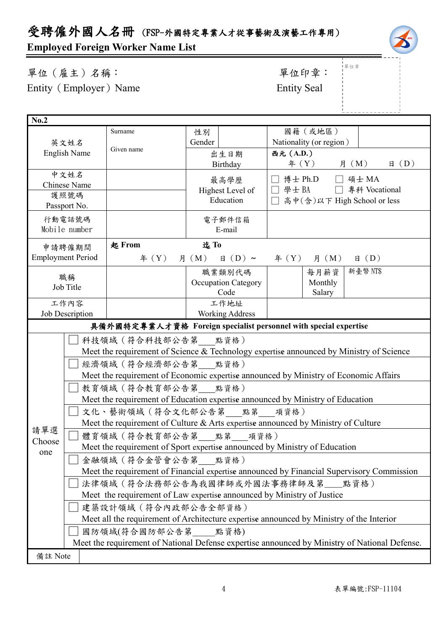## 受聘僱外國人名冊 (FSP-外國特定專業人才從事藝術及演藝工作專用)

### **Employed Foreign Worker Name List**

| 單位(雇主)名稱:              | 單位印章               |
|------------------------|--------------------|
| Entity (Employer) Name | <b>Entity Seal</b> |

# 單位印章: |<br>|單位章

| No.2                |                                                                                               |                                                                                           |        |                            |           |                               |                         |                |
|---------------------|-----------------------------------------------------------------------------------------------|-------------------------------------------------------------------------------------------|--------|----------------------------|-----------|-------------------------------|-------------------------|----------------|
|                     |                                                                                               | Surname                                                                                   | 性別     |                            |           | 國籍(或地區)                       |                         |                |
| 英文姓名                |                                                                                               |                                                                                           | Gender |                            |           | Nationality (or region)       |                         |                |
|                     | <b>English Name</b>                                                                           | Given name                                                                                |        | 出生日期                       | 西元 (A.D.) |                               |                         |                |
|                     |                                                                                               |                                                                                           |        | Birthday                   |           | 年 $(Y)$                       | 月 (M)                   | $\boxplus$ (D) |
|                     | 中文姓名                                                                                          |                                                                                           |        | 最高學歷                       |           | 博士 Ph.D □ 碩士 MA               |                         |                |
|                     | <b>Chinese Name</b>                                                                           |                                                                                           |        | Highest Level of           |           |                               | □ 學士 BA □ 專科 Vocational |                |
|                     | 護照號碼<br>Passport No.                                                                          |                                                                                           |        | Education                  |           | □ 高中(含)以下 High School or less |                         |                |
|                     |                                                                                               |                                                                                           |        |                            |           |                               |                         |                |
|                     | 行動電話號碼<br>Mobile number                                                                       |                                                                                           |        | 電子郵件信箱<br>E-mail           |           |                               |                         |                |
|                     |                                                                                               |                                                                                           |        |                            |           |                               |                         |                |
|                     | 申請聘僱期間                                                                                        | 起 From                                                                                    | 迄To    |                            |           |                               |                         |                |
|                     | <b>Employment Period</b>                                                                      | # (Y)                                                                                     |        | 月 (M) 日 (D) ~              |           | $\text{4}(Y)$ 月 $(M)$         | $\boxplus$ (D)          |                |
|                     | 職稱                                                                                            |                                                                                           |        | 職業類別代碼                     |           | 每月薪資                          | 新臺幣 NT\$                |                |
|                     | Job Title                                                                                     |                                                                                           |        | <b>Occupation Category</b> |           | Monthly                       |                         |                |
|                     |                                                                                               |                                                                                           |        | Code                       |           | Salary                        |                         |                |
|                     | 工作內容<br>Job Description                                                                       | 工作地址<br><b>Working Address</b>                                                            |        |                            |           |                               |                         |                |
|                     |                                                                                               | 具備外國特定專業人才資格 Foreign specialist personnel with special expertise                          |        |                            |           |                               |                         |                |
|                     |                                                                                               |                                                                                           |        |                            |           |                               |                         |                |
|                     |                                                                                               | 科技領域 (符合科技部公告第 __ 點資格)                                                                    |        |                            |           |                               |                         |                |
|                     | Meet the requirement of Science & Technology expertise announced by Ministry of Science       |                                                                                           |        |                            |           |                               |                         |                |
|                     | 經濟領域 (符合經濟部公告第 點資格)                                                                           |                                                                                           |        |                            |           |                               |                         |                |
|                     |                                                                                               | Meet the requirement of Economic expertise announced by Ministry of Economic Affairs      |        |                            |           |                               |                         |                |
|                     |                                                                                               | 教育領域 (符合教育部公告第 點資格)                                                                       |        |                            |           |                               |                         |                |
|                     |                                                                                               | Meet the requirement of Education expertise announced by Ministry of Education            |        |                            |           |                               |                         |                |
|                     |                                                                                               | 文化、藝術領域(符合文化部公告第 __ 點第 __ 項資格)                                                            |        |                            |           |                               |                         |                |
| 請單選                 | Meet the requirement of Culture & Arts expertise announced by Ministry of Culture             |                                                                                           |        |                            |           |                               |                         |                |
| Choose              | 體育領域 (符合教育部公告第 點第 項資格)                                                                        |                                                                                           |        |                            |           |                               |                         |                |
| one                 | Meet the requirement of Sport expertise announced by Ministry of Education                    |                                                                                           |        |                            |           |                               |                         |                |
| 金融領域 (符合金管會公告第 點資格) |                                                                                               |                                                                                           |        |                            |           |                               |                         |                |
|                     |                                                                                               | Meet the requirement of Financial expertise announced by Financial Supervisory Commission |        |                            |           |                               |                         |                |
|                     |                                                                                               | 法律領域(符合法務部公告為我國律師或外國法事務律師及第__點資格)                                                         |        |                            |           |                               |                         |                |
|                     |                                                                                               | Meet the requirement of Law expertise announced by Ministry of Justice                    |        |                            |           |                               |                         |                |
|                     |                                                                                               | 建築設計領域 (符合內政部公告全部資格)                                                                      |        |                            |           |                               |                         |                |
|                     |                                                                                               | Meet all the requirement of Architecture expertise announced by Ministry of the Interior  |        |                            |           |                               |                         |                |
|                     |                                                                                               | 國防領域(符合國防部公告第 點資格)                                                                        |        |                            |           |                               |                         |                |
|                     | Meet the requirement of National Defense expertise announced by Ministry of National Defense. |                                                                                           |        |                            |           |                               |                         |                |
| 備註 Note             |                                                                                               |                                                                                           |        |                            |           |                               |                         |                |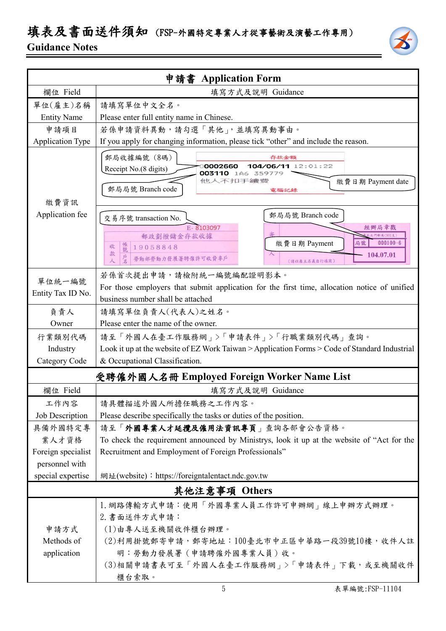# 填表及書面送件須知 (FSP-外國特定專業人才從事藝術及演藝工作專用)

### **Guidance Notes**

| <b>Application Form</b><br>申請書<br>欄位 Field<br>填寫方式及說明 Guidance<br>單位(雇主)名稱<br>請填寫單位中文全名。<br><b>Entity Name</b><br>Please enter full entity name in Chinese.<br>若係申請資料異動,請勾選「其他」,並填寫異動事由。<br>申請項目<br>If you apply for changing information, please tick "other" and include the reason.<br><b>Application Type</b><br>郵局收據編號 (8碼)<br>存款金額<br>104/06/11 12:01:22<br>0002660<br>Receipt No.(8 digits)<br>003110 1A6 359779<br>他人不扣手續發<br>繳費日期 Payment date<br>郵局局號 Branch code<br>電腦記錄<br>繳費資訊<br>Application fee<br>郵局局號 Branch code<br>交易序號 transaction No.<br>E-8103097<br>經辦局章戳<br><b>北門郵局(901支)</b><br>郵政劃撥儲金存款收據<br>繳費日期 Payment<br>局號<br>$000100 - 6$<br>帳號<br>收<br>19058848<br>款<br>104.07.01<br>戶名<br>勞動部勞動力發展署聘僱許可收費專戶<br>人<br>(請以雇主名義自行填寫)<br>若係首次提出申請,請檢附統一編號編配證明影本。<br>單位統一編號<br>For those employers that submit application for the first time, allocation notice of unified<br>Entity Tax ID No.<br>business number shall be attached<br>負責人<br>請填寫單位負責人(代表人)之姓名。<br>Please enter the name of the owner.<br>Owner<br>請至「外國人在臺工作服務網」>「申請表件」>「行職業類別代碼」查詢。<br>行業類別代碼<br>Industry<br>& Occupational Classification.<br>Category Code<br>受聘僱外國人名冊 Employed Foreign Worker Name List<br>欄位 Field<br>填寫方式及說明 Guidance<br>工作內容<br>請具體描述外國人所擔任職務之工作內容。<br>Job Description<br>Please describe specifically the tasks or duties of the position.<br>具備外國特定專<br>請至「外國專業人才延攬及僱用法資訊專頁」查詢各部會公告資格。<br>業人才資格<br>To check the requirement announced by Ministrys, look it up at the website of "Act for the<br>Recruitment and Employment of Foreign Professionals"<br>Foreign specialist<br>personnel with |                                                                                               |  |  |  |  |
|-------------------------------------------------------------------------------------------------------------------------------------------------------------------------------------------------------------------------------------------------------------------------------------------------------------------------------------------------------------------------------------------------------------------------------------------------------------------------------------------------------------------------------------------------------------------------------------------------------------------------------------------------------------------------------------------------------------------------------------------------------------------------------------------------------------------------------------------------------------------------------------------------------------------------------------------------------------------------------------------------------------------------------------------------------------------------------------------------------------------------------------------------------------------------------------------------------------------------------------------------------------------------------------------------------------------------------------------------------------------------------------------------------------------------------------------------------------------------------------------------------------------------------------------------------------------------------------------------------|-----------------------------------------------------------------------------------------------|--|--|--|--|
|                                                                                                                                                                                                                                                                                                                                                                                                                                                                                                                                                                                                                                                                                                                                                                                                                                                                                                                                                                                                                                                                                                                                                                                                                                                                                                                                                                                                                                                                                                                                                                                                       |                                                                                               |  |  |  |  |
|                                                                                                                                                                                                                                                                                                                                                                                                                                                                                                                                                                                                                                                                                                                                                                                                                                                                                                                                                                                                                                                                                                                                                                                                                                                                                                                                                                                                                                                                                                                                                                                                       |                                                                                               |  |  |  |  |
|                                                                                                                                                                                                                                                                                                                                                                                                                                                                                                                                                                                                                                                                                                                                                                                                                                                                                                                                                                                                                                                                                                                                                                                                                                                                                                                                                                                                                                                                                                                                                                                                       |                                                                                               |  |  |  |  |
|                                                                                                                                                                                                                                                                                                                                                                                                                                                                                                                                                                                                                                                                                                                                                                                                                                                                                                                                                                                                                                                                                                                                                                                                                                                                                                                                                                                                                                                                                                                                                                                                       |                                                                                               |  |  |  |  |
|                                                                                                                                                                                                                                                                                                                                                                                                                                                                                                                                                                                                                                                                                                                                                                                                                                                                                                                                                                                                                                                                                                                                                                                                                                                                                                                                                                                                                                                                                                                                                                                                       |                                                                                               |  |  |  |  |
|                                                                                                                                                                                                                                                                                                                                                                                                                                                                                                                                                                                                                                                                                                                                                                                                                                                                                                                                                                                                                                                                                                                                                                                                                                                                                                                                                                                                                                                                                                                                                                                                       |                                                                                               |  |  |  |  |
|                                                                                                                                                                                                                                                                                                                                                                                                                                                                                                                                                                                                                                                                                                                                                                                                                                                                                                                                                                                                                                                                                                                                                                                                                                                                                                                                                                                                                                                                                                                                                                                                       |                                                                                               |  |  |  |  |
|                                                                                                                                                                                                                                                                                                                                                                                                                                                                                                                                                                                                                                                                                                                                                                                                                                                                                                                                                                                                                                                                                                                                                                                                                                                                                                                                                                                                                                                                                                                                                                                                       |                                                                                               |  |  |  |  |
|                                                                                                                                                                                                                                                                                                                                                                                                                                                                                                                                                                                                                                                                                                                                                                                                                                                                                                                                                                                                                                                                                                                                                                                                                                                                                                                                                                                                                                                                                                                                                                                                       |                                                                                               |  |  |  |  |
|                                                                                                                                                                                                                                                                                                                                                                                                                                                                                                                                                                                                                                                                                                                                                                                                                                                                                                                                                                                                                                                                                                                                                                                                                                                                                                                                                                                                                                                                                                                                                                                                       |                                                                                               |  |  |  |  |
|                                                                                                                                                                                                                                                                                                                                                                                                                                                                                                                                                                                                                                                                                                                                                                                                                                                                                                                                                                                                                                                                                                                                                                                                                                                                                                                                                                                                                                                                                                                                                                                                       |                                                                                               |  |  |  |  |
|                                                                                                                                                                                                                                                                                                                                                                                                                                                                                                                                                                                                                                                                                                                                                                                                                                                                                                                                                                                                                                                                                                                                                                                                                                                                                                                                                                                                                                                                                                                                                                                                       |                                                                                               |  |  |  |  |
|                                                                                                                                                                                                                                                                                                                                                                                                                                                                                                                                                                                                                                                                                                                                                                                                                                                                                                                                                                                                                                                                                                                                                                                                                                                                                                                                                                                                                                                                                                                                                                                                       | Look it up at the website of EZ Work Taiwan > Application Forms > Code of Standard Industrial |  |  |  |  |
|                                                                                                                                                                                                                                                                                                                                                                                                                                                                                                                                                                                                                                                                                                                                                                                                                                                                                                                                                                                                                                                                                                                                                                                                                                                                                                                                                                                                                                                                                                                                                                                                       |                                                                                               |  |  |  |  |
|                                                                                                                                                                                                                                                                                                                                                                                                                                                                                                                                                                                                                                                                                                                                                                                                                                                                                                                                                                                                                                                                                                                                                                                                                                                                                                                                                                                                                                                                                                                                                                                                       |                                                                                               |  |  |  |  |
|                                                                                                                                                                                                                                                                                                                                                                                                                                                                                                                                                                                                                                                                                                                                                                                                                                                                                                                                                                                                                                                                                                                                                                                                                                                                                                                                                                                                                                                                                                                                                                                                       |                                                                                               |  |  |  |  |
|                                                                                                                                                                                                                                                                                                                                                                                                                                                                                                                                                                                                                                                                                                                                                                                                                                                                                                                                                                                                                                                                                                                                                                                                                                                                                                                                                                                                                                                                                                                                                                                                       |                                                                                               |  |  |  |  |
|                                                                                                                                                                                                                                                                                                                                                                                                                                                                                                                                                                                                                                                                                                                                                                                                                                                                                                                                                                                                                                                                                                                                                                                                                                                                                                                                                                                                                                                                                                                                                                                                       |                                                                                               |  |  |  |  |
|                                                                                                                                                                                                                                                                                                                                                                                                                                                                                                                                                                                                                                                                                                                                                                                                                                                                                                                                                                                                                                                                                                                                                                                                                                                                                                                                                                                                                                                                                                                                                                                                       |                                                                                               |  |  |  |  |
|                                                                                                                                                                                                                                                                                                                                                                                                                                                                                                                                                                                                                                                                                                                                                                                                                                                                                                                                                                                                                                                                                                                                                                                                                                                                                                                                                                                                                                                                                                                                                                                                       |                                                                                               |  |  |  |  |
|                                                                                                                                                                                                                                                                                                                                                                                                                                                                                                                                                                                                                                                                                                                                                                                                                                                                                                                                                                                                                                                                                                                                                                                                                                                                                                                                                                                                                                                                                                                                                                                                       |                                                                                               |  |  |  |  |
|                                                                                                                                                                                                                                                                                                                                                                                                                                                                                                                                                                                                                                                                                                                                                                                                                                                                                                                                                                                                                                                                                                                                                                                                                                                                                                                                                                                                                                                                                                                                                                                                       |                                                                                               |  |  |  |  |
| special expertise<br>網址(website): https://foreigntalentact.ndc.gov.tw                                                                                                                                                                                                                                                                                                                                                                                                                                                                                                                                                                                                                                                                                                                                                                                                                                                                                                                                                                                                                                                                                                                                                                                                                                                                                                                                                                                                                                                                                                                                 |                                                                                               |  |  |  |  |
| 其他注意事項 Others                                                                                                                                                                                                                                                                                                                                                                                                                                                                                                                                                                                                                                                                                                                                                                                                                                                                                                                                                                                                                                                                                                                                                                                                                                                                                                                                                                                                                                                                                                                                                                                         |                                                                                               |  |  |  |  |
| 1. 網路傳輸方式申請:使用「外國專業人員工作許可申辦網」線上申辦方式辦理。<br>2. 書面送件方式申請:<br>(1)由專人送至機關收件櫃台辦理。<br>申請方式<br>Methods of<br>(2)利用掛號郵寄申請,郵寄地址:100臺北市中正區中華路一段39號10樓,收件人註<br>明:勞動力發展署(申請聘僱外國專業人員)收。<br>application<br>(3)相關申請書表可至「外國人在臺工作服務網」>「申請表件」下載,或至機關收件<br>櫃台索取。                                                                                                                                                                                                                                                                                                                                                                                                                                                                                                                                                                                                                                                                                                                                                                                                                                                                                                                                                                                                                                                                                                                                                                                                                                                                                                                                                          |                                                                                               |  |  |  |  |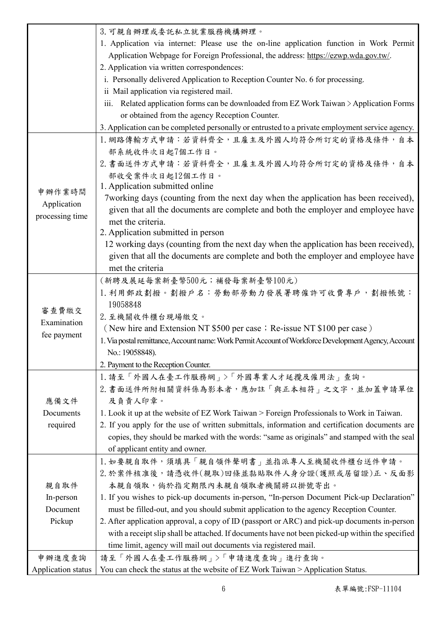|                    | 3. 可親自辦理或委託私立就業服務機構辦理。                                                                               |
|--------------------|------------------------------------------------------------------------------------------------------|
|                    | 1. Application via internet: Please use the on-line application function in Work Permit              |
|                    | Application Webpage for Foreign Professional, the address: https://ezwp.wda.gov.tw/.                 |
|                    | 2. Application via written correspondences:                                                          |
|                    | i. Personally delivered Application to Reception Counter No. 6 for processing.                       |
|                    | ii Mail application via registered mail.                                                             |
|                    | iii. Related application forms can be downloaded from EZ Work Taiwan > Application Forms             |
|                    | or obtained from the agency Reception Counter.                                                       |
|                    | 3. Application can be completed personally or entrusted to a private employment service agency.      |
|                    | 1. 網路傳輸方式申請:若資料齊全,且雇主及外國人均符合所訂定的資格及條件,自本                                                             |
|                    | 部系統收件次日起7個工作日。                                                                                       |
|                    | 2. 書面送件方式申請:若資料齊全,且雇主及外國人均符合所訂定的資格及條件,自本                                                             |
|                    | 部收受案件次日起12個工作日。                                                                                      |
| 申辦作業時間             | 1. Application submitted online                                                                      |
| Application        | 7 working days (counting from the next day when the application has been received),                  |
| processing time    | given that all the documents are complete and both the employer and employee have                    |
|                    | met the criteria.<br>2. Application submitted in person                                              |
|                    | 12 working days (counting from the next day when the application has been received),                 |
|                    | given that all the documents are complete and both the employer and employee have                    |
|                    | met the criteria                                                                                     |
|                    | (新聘及展延每案新臺幣500元;補發每案新臺幣100元)                                                                         |
|                    | 1. 利用郵政劃撥。劃撥戶名:勞動部勞動力發展署聘僱許可收費專戶,劃撥帳號:                                                               |
|                    | 19058848                                                                                             |
| 審查費繳交              | 2. 至機關收件櫃台現場繳交。                                                                                      |
| Examination        | (New hire and Extension NT \$500 per case; Re-issue NT \$100 per case)                               |
| fee payment        | 1. Via postal remittance, Account name: Work Permit Account of Workforce Development Agency, Account |
|                    | No.: 19058848).                                                                                      |
|                    | 2. Payment to the Reception Counter.                                                                 |
|                    | 1. 請至「外國人在臺工作服務網」>「外國專業人才延攬及僱用法」查詢。                                                                  |
|                    | 2. 書面送件所附相關資料係為影本者,應加註「與正本相符」之文字,並加蓋申請單位                                                             |
| 應備文件               | 及負責人印章。                                                                                              |
| Documents          | 1. Look it up at the website of EZ Work Taiwan > Foreign Professionals to Work in Taiwan.            |
| required           | 2. If you apply for the use of written submittals, information and certification documents are       |
|                    | copies, they should be marked with the words: "same as originals" and stamped with the seal          |
|                    | of applicant entity and owner.                                                                       |
|                    | 1. 如要親自取件,須填具「親自領件聲明書」並指派專人至機關收件櫃台送件申請。                                                              |
|                    | 2. 於案件核准後,請憑收件(親取)回條並黏貼取件人身分證(護照或居留證)正、反面影                                                           |
| 親自取件               | 本親自領取,倘於指定期限內未親自領取者機關將以掛號寄出。                                                                         |
| In-person          | 1. If you wishes to pick-up documents in-person, "In-person Document Pick-up Declaration"            |
| Document           | must be filled-out, and you should submit application to the agency Reception Counter.               |
| Pickup             | 2. After application approval, a copy of ID (passport or ARC) and pick-up documents in-person        |
|                    | with a receipt slip shall be attached. If documents have not been picked-up within the specified     |
|                    | time limit, agency will mail out documents via registered mail.                                      |
| 申辦進度查詢             | 請至「外國人在臺工作服務網」>「申請進度查詢」進行查詢。                                                                         |
| Application status | You can check the status at the website of EZ Work Taiwan > Application Status.                      |